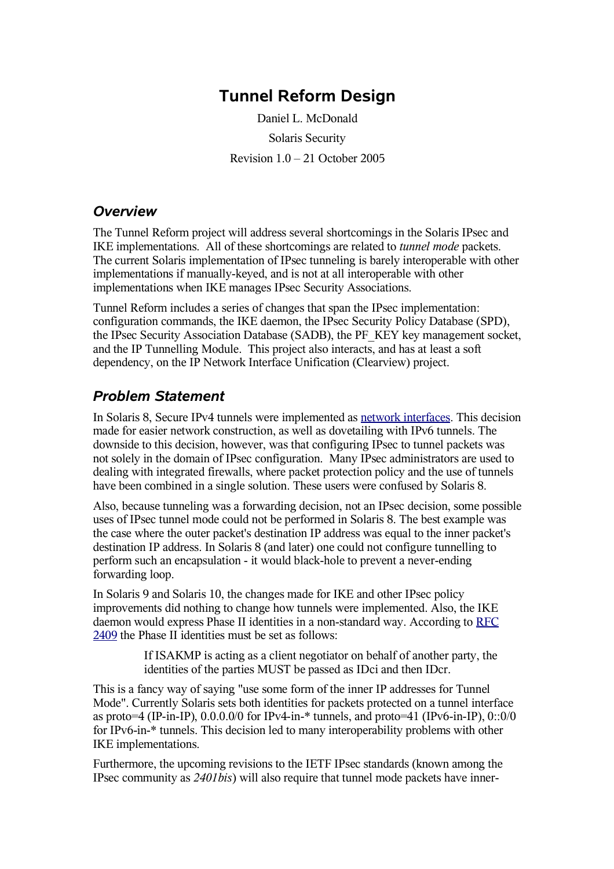# **Tunnel Reform Design**

Daniel L. McDonald Solaris Security Revision 1.0 – 21 October 2005

### *Overview*

The Tunnel Reform project will address several shortcomings in the Solaris IPsec and IKE implementations. All of these shortcomings are related to *tunnel mode* packets. The current Solaris implementation of IPsec tunneling is barely interoperable with other implementations if manually-keyed, and is not at all interoperable with other implementations when IKE manages IPsec Security Associations.

Tunnel Reform includes a series of changes that span the IPsec implementation: configuration commands, the IKE daemon, the IPsec Security Policy Database (SPD), the IPsec Security Association Database (SADB), the PF\_KEY key management socket, and the IP Tunnelling Module. This project also interacts, and has at least a soft dependency, on the IP Network Interface Unification (Clearview) project.

## *Problem Statement*

In Solaris 8, Secure IPv4 tunnels were implemented as network interfaces. This decision made for easier network construction, as well as dovetailing with IPv6 tunnels. The downside to this decision, however, was that configuring IPsec to tunnel packets was not solely in the domain of IPsec configuration. Many IPsec administrators are used to dealing with integrated firewalls, where packet protection policy and the use of tunnels have been combined in a single solution. These users were confused by Solaris 8.

Also, because tunneling was a forwarding decision, not an IPsec decision, some possible uses of IPsec tunnel mode could not be performed in Solaris 8. The best example was the case where the outer packet's destination IP address was equal to the inner packet's destination IP address. In Solaris 8 (and later) one could not configure tunnelling to perform such an encapsulation - it would black-hole to prevent a never-ending forwarding loop.

In Solaris 9 and Solaris 10, the changes made for IKE and other IPsec policy improvements did nothing to change how tunnels were implemented. Also, the IKE daemon would express Phase II identities in a non-standard way. According to RFC 2409 the Phase II identities must be set as follows:

> If ISAKMP is acting as a client negotiator on behalf of another party, the identities of the parties MUST be passed as IDci and then IDcr.

This is a fancy way of saying "use some form of the inner IP addresses for Tunnel Mode". Currently Solaris sets both identities for packets protected on a tunnel interface as proto=4 (IP-in-IP),  $0.0.0.0/0$  for IPv4-in- $*$  tunnels, and proto=41 (IPv6-in-IP), 0::0/0 for IPv6-in-\* tunnels. This decision led to many interoperability problems with other IKE implementations.

Furthermore, the upcoming revisions to the IETF IPsec standards (known among the IPsec community as *2401bis*) will also require that tunnel mode packets have inner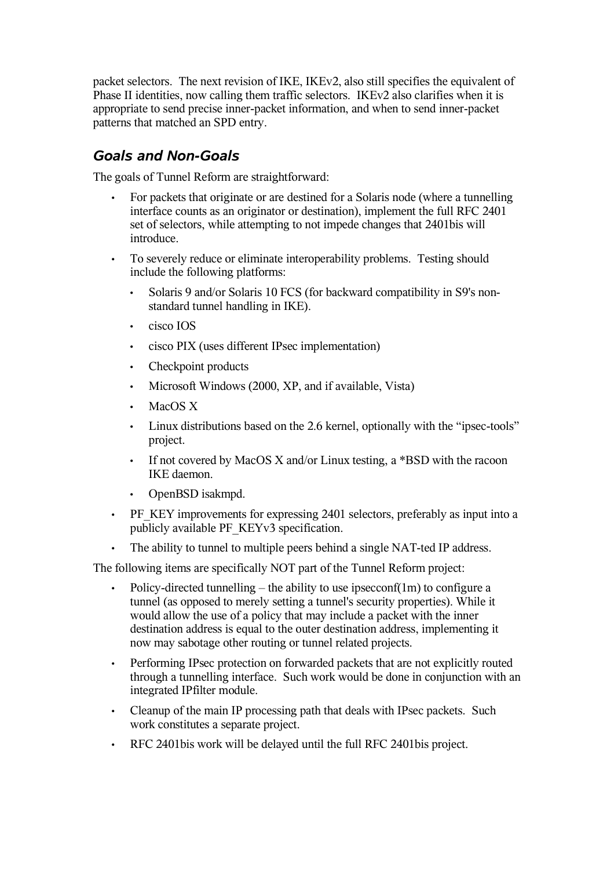packet selectors. The next revision of IKE, IKEv2, also still specifies the equivalent of Phase II identities, now calling them traffic selectors. IKEv2 also clarifies when it is appropriate to send precise inner-packet information, and when to send inner-packet patterns that matched an SPD entry.

## *Goals and Non-Goals*

The goals of Tunnel Reform are straightforward:

- For packets that originate or are destined for a Solaris node (where a tunnelling interface counts as an originator or destination), implement the full RFC 2401 set of selectors, while attempting to not impede changes that 2401bis will introduce.
- To severely reduce or eliminate interoperability problems. Testing should include the following platforms:
	- Solaris 9 and/or Solaris 10 FCS (for backward compatibility in S9's nonstandard tunnel handling in IKE).
	- cisco IOS
	- cisco PIX (uses different IPsec implementation)
	- Checkpoint products
	- Microsoft Windows (2000, XP, and if available, Vista)
	- MacOS X
	- Linux distributions based on the 2.6 kernel, optionally with the "ipsec-tools" project.
	- If not covered by MacOS X and/or Linux testing, a \*BSD with the racoon IKE daemon.
	- OpenBSD isakmpd.
- PF\_KEY improvements for expressing 2401 selectors, preferably as input into a publicly available PF\_KEYv3 specification.
- The ability to tunnel to multiple peers behind a single NAT-ted IP address.

The following items are specifically NOT part of the Tunnel Reform project:

- Policy-directed tunnelling the ability to use ipsecconf $(1m)$  to configure a tunnel (as opposed to merely setting a tunnel's security properties). While it would allow the use of a policy that may include a packet with the inner destination address is equal to the outer destination address, implementing it now may sabotage other routing or tunnel related projects.
- Performing IPsec protection on forwarded packets that are not explicitly routed through a tunnelling interface. Such work would be done in conjunction with an integrated IPfilter module.
- Cleanup of the main IP processing path that deals with IPsec packets. Such work constitutes a separate project.
- RFC 2401bis work will be delayed until the full RFC 2401bis project.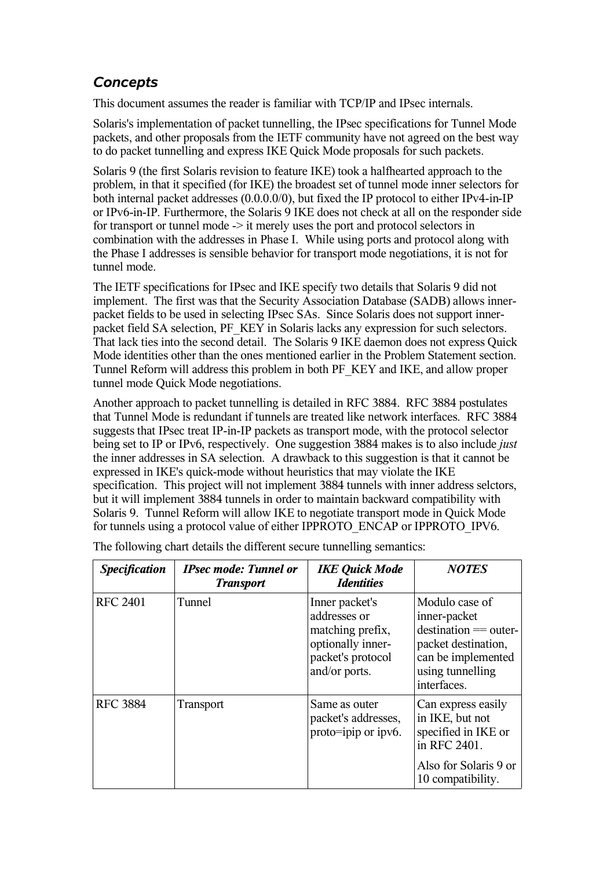## *Concepts*

This document assumes the reader is familiar with TCP/IP and IPsec internals.

Solaris's implementation of packet tunnelling, the IPsec specifications for Tunnel Mode packets, and other proposals from the IETF community have not agreed on the best way to do packet tunnelling and express IKE Quick Mode proposals for such packets.

Solaris 9 (the first Solaris revision to feature IKE) took a halfhearted approach to the problem, in that it specified (for IKE) the broadest set of tunnel mode inner selectors for both internal packet addresses (0.0.0.0/0), but fixed the IP protocol to either IPv4-in-IP or IPv6-in-IP. Furthermore, the Solaris 9 IKE does not check at all on the responder side for transport or tunnel mode  $\rightarrow$  it merely uses the port and protocol selectors in combination with the addresses in Phase I. While using ports and protocol along with the Phase I addresses is sensible behavior for transport mode negotiations, it is not for tunnel mode.

The IETF specifications for IPsec and IKE specify two details that Solaris 9 did not implement. The first was that the Security Association Database (SADB) allows innerpacket fields to be used in selecting IPsec SAs. Since Solaris does not support innerpacket field SA selection, PF\_KEY in Solaris lacks any expression for such selectors. That lack ties into the second detail. The Solaris 9 IKE daemon does not express Quick Mode identities other than the ones mentioned earlier in the Problem Statement section. Tunnel Reform will address this problem in both PF\_KEY and IKE, and allow proper tunnel mode Quick Mode negotiations.

Another approach to packet tunnelling is detailed in RFC 3884. RFC 3884 postulates that Tunnel Mode is redundant if tunnels are treated like network interfaces. RFC 3884 suggests that IPsec treat IP-in-IP packets as transport mode, with the protocol selector being set to IP or IPv6, respectively. One suggestion 3884 makes is to also include *just* the inner addresses in SA selection. A drawback to this suggestion is that it cannot be expressed in IKE's quick-mode without heuristics that may violate the IKE specification. This project will not implement 3884 tunnels with inner address selctors, but it will implement 3884 tunnels in order to maintain backward compatibility with Solaris 9. Tunnel Reform will allow IKE to negotiate transport mode in Quick Mode for tunnels using a protocol value of either IPPROTO\_ENCAP or IPPROTO\_IPV6.

| <b>Specification</b> | <b>IPsec mode: Tunnel or</b><br><b>Transport</b> | <b>IKE Quick Mode</b><br><b>Identities</b>                                                                    | <b>NOTES</b>                                                                                                                                  |
|----------------------|--------------------------------------------------|---------------------------------------------------------------------------------------------------------------|-----------------------------------------------------------------------------------------------------------------------------------------------|
| <b>RFC 2401</b>      | Tunnel                                           | Inner packet's<br>addresses or<br>matching prefix,<br>optionally inner-<br>packet's protocol<br>and/or ports. | Modulo case of<br>inner-packet<br>$d$ destination $==$ outer-<br>packet destination,<br>can be implemented<br>using tunnelling<br>interfaces. |
| <b>RFC 3884</b>      | <b>Transport</b>                                 | Same as outer<br>packet's addresses,<br>proto=ipip or ipv6.                                                   | Can express easily<br>in IKE, but not<br>specified in IKE or<br>in RFC 2401.<br>Also for Solaris 9 or<br>10 compatibility.                    |

The following chart details the different secure tunnelling semantics: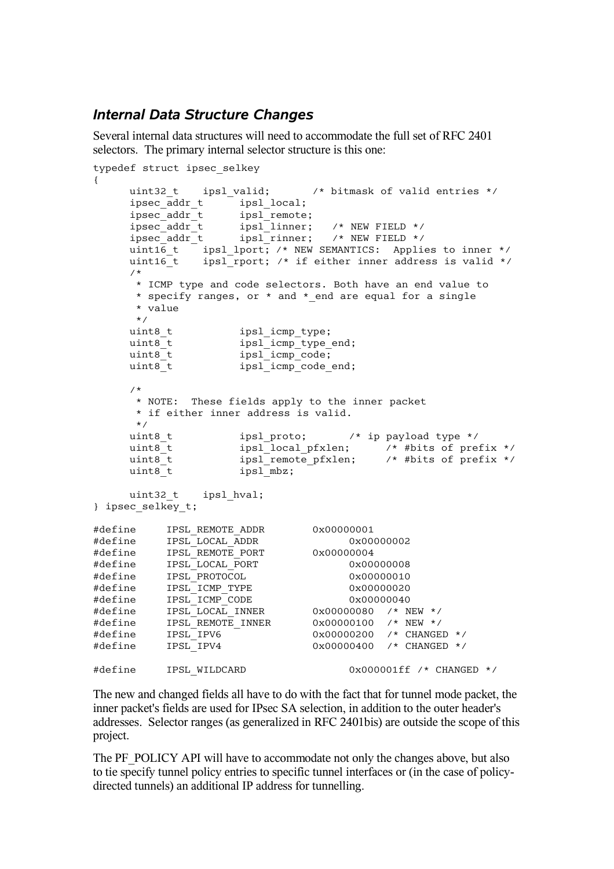### *Internal Data Structure Changes*

Several internal data structures will need to accommodate the full set of RFC 2401 selectors. The primary internal selector structure is this one:

```
typedef struct ipsec_selkey
{
     uint32 t ipsl valid; /* bitmask of valid entries */
     ipsec_addr_t ipsl_local;<br>ipsec_addr_t ipsl_remote
                    ips1<sub>_</sub>remote;
     ipsec_addr_t ipsl_linner; /* NEW FIELD */
     ipsec_addr_t ipsl_rinner; /* NEW FIELD */
     uint16_t ipsl_lport; /* NEW SEMANTICS: Applies to inner */
     uint16<sup>-t</sup> ipsl<sup>-</sup>rport; /* if either inner address is valid */
     /*
      * ICMP type and code selectors. Both have an end value to
      * specify ranges, or * and * end are equal for a single
      * value
     */<br>uint8_t<br>uint8_t<br>uint8_t<br>uint8_t
                   ipsl icmp type;
                   ipsl_icmp_type end;
                   ips1_icmp_code;
                   inv1 icmp code end;
     /*
      * NOTE: These fields apply to the inner packet
      * if either inner address is valid.
      */
     uint8 t ipsl proto; /* ip payload type */
     uint8_t ipsl_local_pfxlen; /* #bits of prefix */
     uint8_t ipsl_remote_pfxlen; /* #bits of prefix */
     uint8_t ipsl_remo<br>uint8_t ipsl_mbz;
     uint32 t ipsl hval;
} ipsec_selkey_t;
#define IPSL_REMOTE_ADDR 0x00000001
#define IPSL_LOCAL_ADDR 0x00000002
#define IPSL_REMOTE_PORT 0x00000004
#define IPSL_LOCAL_PORT 0x00000008
#define IPSL_PROTOCOL 0x00000010
#define IPSL_ICMP_TYPE 0x00000020
#define IPSL_ICMP_CODE 0x00000040
#define IPSL_LOCAL_INNER 0x00000080 /* NEW */
#define IPSL_REMOTE_INNER 0x00000100 /* NEW */
#define IPSL_IPV6 0x00000200 /* CHANGED */
#define IPSL_IPV4 0x00000400 /* CHANGED */
#define IPSL WILDCARD 0x000001ff /* CHANGED */
```
The new and changed fields all have to do with the fact that for tunnel mode packet, the inner packet's fields are used for IPsec SA selection, in addition to the outer header's addresses. Selector ranges (as generalized in RFC 2401bis) are outside the scope of this project.

The PF\_POLICY API will have to accommodate not only the changes above, but also to tie specify tunnel policy entries to specific tunnel interfaces or (in the case of policydirected tunnels) an additional IP address for tunnelling.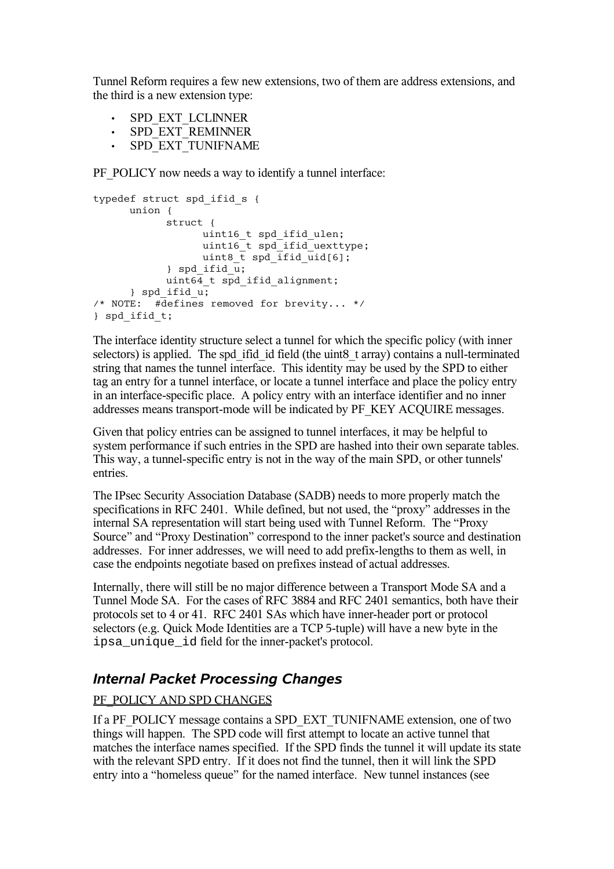Tunnel Reform requires a few new extensions, two of them are address extensions, and the third is a new extension type:

- SPD\_EXT\_LCLINNER
- SPD\_EXT\_REMINNER
- SPD\_EXT\_TUNIFNAME

PF\_POLICY now needs a way to identify a tunnel interface:

```
typedef struct spd_ifid_s {
      union {
             struct {
                    uint16 t spd ifid ulen;
                    uint16^-t spd_ifid_uexttype;
                   uint8 \overline{t} spd ifid uid[6];
             \} spd ifid \overline{u};
             uint64 t spd ifid alignment;
      \} spd ifid u;
/* NOTE: #defines removed for brevity... */
} spd_ifid_t;
```
The interface identity structure select a tunnel for which the specific policy (with inner selectors) is applied. The spd ifid id field (the uint8 t array) contains a null-terminated string that names the tunnel interface. This identity may be used by the SPD to either tag an entry for a tunnel interface, or locate a tunnel interface and place the policy entry in an interface-specific place. A policy entry with an interface identifier and no inner addresses means transport-mode will be indicated by PF\_KEY ACQUIRE messages.

Given that policy entries can be assigned to tunnel interfaces, it may be helpful to system performance if such entries in the SPD are hashed into their own separate tables. This way, a tunnel-specific entry is not in the way of the main SPD, or other tunnels' entries.

The IPsec Security Association Database (SADB) needs to more properly match the specifications in RFC 2401. While defined, but not used, the "proxy" addresses in the internal SA representation will start being used with Tunnel Reform. The "Proxy Source" and "Proxy Destination" correspond to the inner packet's source and destination addresses. For inner addresses, we will need to add prefix-lengths to them as well, in case the endpoints negotiate based on prefixes instead of actual addresses.

Internally, there will still be no major difference between a Transport Mode SA and a Tunnel Mode SA. For the cases of RFC 3884 and RFC 2401 semantics, both have their protocols set to 4 or 41. RFC 2401 SAs which have inner-header port or protocol selectors (e.g. Quick Mode Identities are a TCP 5-tuple) will have a new byte in the ipsa\_unique\_id field for the inner-packet's protocol.

## *Internal Packet Processing Changes*

### PF\_POLICY AND SPD CHANGES

If a PF\_POLICY message contains a SPD\_EXT\_TUNIFNAME extension, one of two things will happen. The SPD code will first attempt to locate an active tunnel that matches the interface names specified. If the SPD finds the tunnel it will update its state with the relevant SPD entry. If it does not find the tunnel, then it will link the SPD entry into a "homeless queue" for the named interface. New tunnel instances (see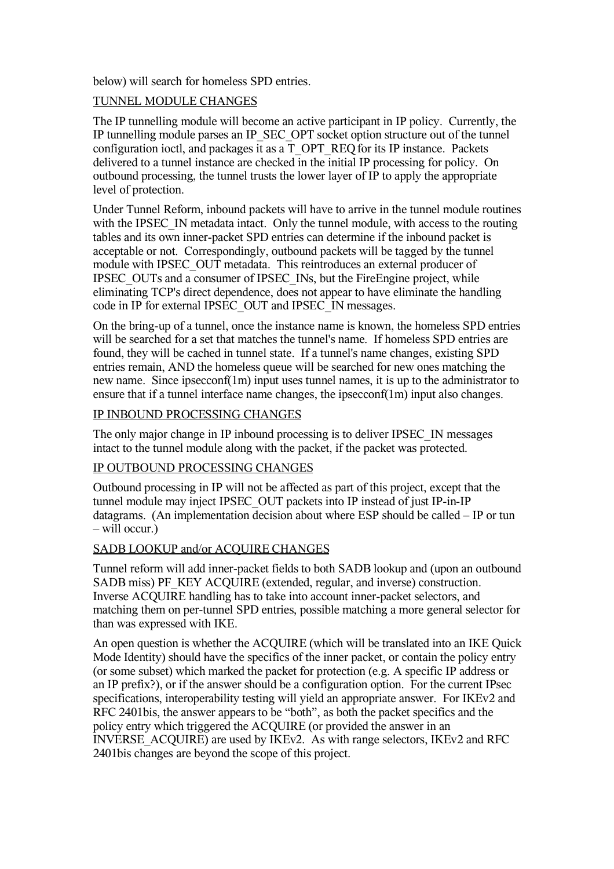below) will search for homeless SPD entries.

#### TUNNEL MODULE CHANGES

The IP tunnelling module will become an active participant in IP policy. Currently, the IP tunnelling module parses an IP\_SEC\_OPT socket option structure out of the tunnel configuration ioctl, and packages it as a T\_OPT\_REQfor its IP instance. Packets delivered to a tunnel instance are checked in the initial IP processing for policy. On outbound processing, the tunnel trusts the lower layer of IP to apply the appropriate level of protection.

Under Tunnel Reform, inbound packets will have to arrive in the tunnel module routines with the IPSEC IN metadata intact. Only the tunnel module, with access to the routing tables and its own inner-packet SPD entries can determine if the inbound packet is acceptable or not. Correspondingly, outbound packets will be tagged by the tunnel module with IPSEC\_OUT metadata. This reintroduces an external producer of IPSEC\_OUTs and a consumer of IPSEC\_INs, but the FireEngine project, while eliminating TCP's direct dependence, does not appear to have eliminate the handling code in IP for external IPSEC\_OUT and IPSEC\_IN messages.

On the bring-up of a tunnel, once the instance name is known, the homeless SPD entries will be searched for a set that matches the tunnel's name. If homeless SPD entries are found, they will be cached in tunnel state. If a tunnel's name changes, existing SPD entries remain, AND the homeless queue will be searched for new ones matching the new name. Since ipsecconf(1m) input uses tunnel names, it is up to the administrator to ensure that if a tunnel interface name changes, the ipsecconf(1m) input also changes.

#### IP INBOUND PROCESSING CHANGES

The only major change in IP inbound processing is to deliver IPSEC\_IN messages intact to the tunnel module along with the packet, if the packet was protected.

#### IP OUTBOUND PROCESSING CHANGES

Outbound processing in IP will not be affected as part of this project, except that the tunnel module may inject IPSEC\_OUT packets into IP instead of just IP-in-IP datagrams. (An implementation decision about where ESP should be called – IP or tun – will occur.)

#### SADB LOOKUP and/or ACOUIRE CHANGES

Tunnel reform will add inner-packet fields to both SADB lookup and (upon an outbound SADB miss) PF\_KEY ACQUIRE (extended, regular, and inverse) construction. Inverse ACQUIRE handling has to take into account inner-packet selectors, and matching them on per-tunnel SPD entries, possible matching a more general selector for than was expressed with IKE.

An open question is whether the ACQUIRE (which will be translated into an IKE Quick Mode Identity) should have the specifics of the inner packet, or contain the policy entry (or some subset) which marked the packet for protection (e.g. A specific IP address or an IP prefix?), or if the answer should be a configuration option. For the current IPsec specifications, interoperability testing will yield an appropriate answer. For IKEv2 and RFC 2401bis, the answer appears to be "both", as both the packet specifics and the policy entry which triggered the ACQUIRE (or provided the answer in an INVERSE\_ACQUIRE) are used by IKEv2. As with range selectors, IKEv2 and RFC 2401bis changes are beyond the scope of this project.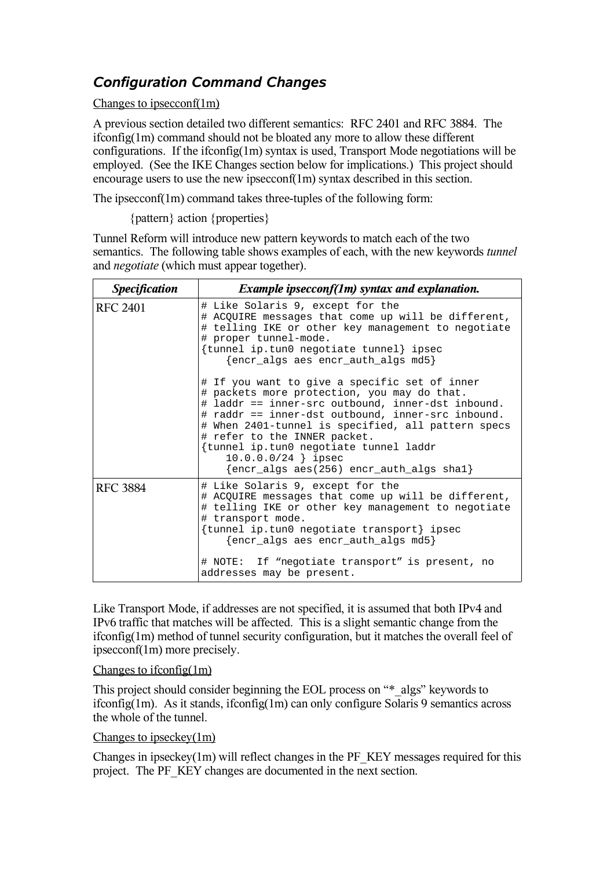# *Configuration Command Changes*

Changes to ipsecconf(1m)

A previous section detailed two different semantics: RFC 2401 and RFC 3884. The ifconfig(1m) command should not be bloated any more to allow these different configurations. If the ifconfig(1m) syntax is used, Transport Mode negotiations will be employed. (See the IKE Changes section below for implications.) This project should encourage users to use the new ipsecconf(1m) syntax described in this section.

The ipsecconf(1m) command takes three-tuples of the following form:

{pattern} action {properties}

Tunnel Reform will introduce new pattern keywords to match each of the two semantics. The following table shows examples of each, with the new keywords *tunnel* and *negotiate* (which must appear together).

| <i>Specification</i> | <i>Example ipsecconf(1m) syntax and explanation.</i>                                                                                                                                                                                                                                                                                                                                                                |
|----------------------|---------------------------------------------------------------------------------------------------------------------------------------------------------------------------------------------------------------------------------------------------------------------------------------------------------------------------------------------------------------------------------------------------------------------|
| <b>RFC 2401</b>      | # Like Solaris 9, except for the<br># ACQUIRE messages that come up will be different,<br># telling IKE or other key management to negotiate<br># proper tunnel-mode.<br>{tunnel ip.tun0 negotiate tunnel} ipsec<br>{encr_algs aes encr_auth_algs md5}                                                                                                                                                              |
|                      | # If you want to give a specific set of inner<br># packets more protection, you may do that.<br># laddr == inner-src outbound, inner-dst inbound.<br># raddr == inner-dst outbound, inner-src inbound.<br># When 2401-tunnel is specified, all pattern specs<br># refer to the INNER packet.<br>{tunnel ip.tun0 negotiate tunnel laddr<br>$10.0.0.0/24$ } ipsec<br>$\{ener\_algs\ aes(256)\ encr_auth_algs\ shal\}$ |
| <b>RFC 3884</b>      | # Like Solaris 9, except for the<br># ACQUIRE messages that come up will be different,<br># telling IKE or other key management to negotiate<br># transport mode.<br>{tunnel ip.tun0 negotiate transport} ipsec<br>$\{encr\_algs$ aes encr_auth_algs md5 $\}$<br># NOTE: If "negotiate transport" is present, no<br>addresses may be present.                                                                       |

Like Transport Mode, if addresses are not specified, it is assumed that both IPv4 and IPv6 traffic that matches will be affected. This is a slight semantic change from the ifconfig(1m) method of tunnel security configuration, but it matches the overall feel of ipsecconf(1m) more precisely.

#### Changes to ifconfig(1m)

This project should consider beginning the EOL process on "\* algs" keywords to ifconfig(1m). As it stands, ifconfig(1m) can only configure Solaris 9 semantics across the whole of the tunnel.

### Changes to ipseckey(1m)

Changes in ipseckey $(1m)$  will reflect changes in the PF\_KEY messages required for this project. The PF\_KEY changes are documented in the next section.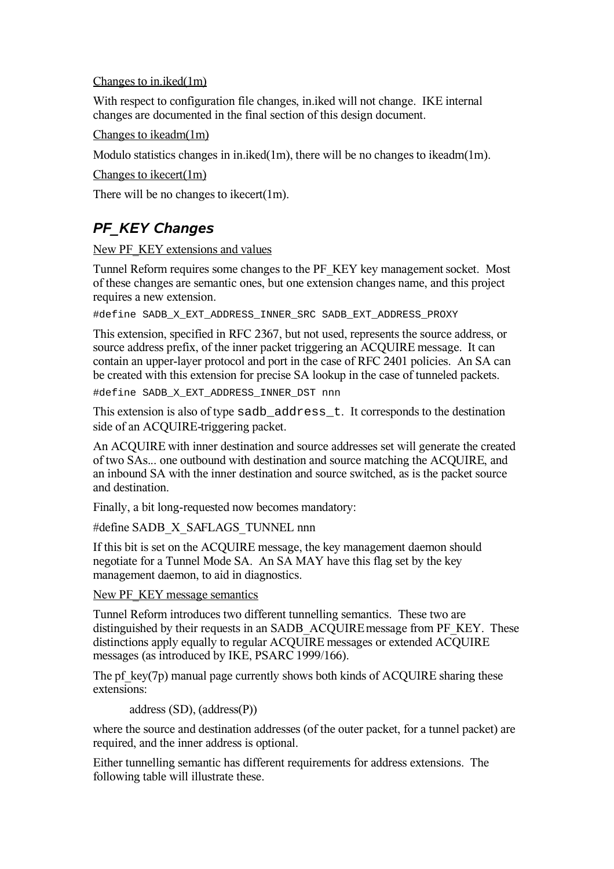#### Changes to in.iked(1m)

With respect to configuration file changes, in.iked will not change. IKE internal changes are documented in the final section of this design document.

Changes to ikeadm(1m)

Modulo statistics changes in in.iked $(1m)$ , there will be no changes to ikeadm $(1m)$ .

Changes to ikecert(1m)

There will be no changes to ikecert(1m).

# *PF\_KEY Changes*

#### New PF\_KEY extensions and values

Tunnel Reform requires some changes to the PF\_KEY key management socket. Most of these changes are semantic ones, but one extension changes name, and this project requires a new extension.

#define SADB\_X\_EXT\_ADDRESS\_INNER\_SRC SADB\_EXT\_ADDRESS\_PROXY

This extension, specified in RFC 2367, but not used, represents the source address, or source address prefix, of the inner packet triggering an ACQUIRE message. It can contain an upper-layer protocol and port in the case of RFC 2401 policies. An SA can be created with this extension for precise SA lookup in the case of tunneled packets.

#define SADB\_X\_EXT\_ADDRESS\_INNER\_DST nnn

This extension is also of type sadb address t. It corresponds to the destination side of an ACQUIRE-triggering packet.

An ACQUIRE with inner destination and source addresses set will generate the created of two SAs... one outbound with destination and source matching the ACQUIRE, and an inbound SA with the inner destination and source switched, as is the packet source and destination.

Finally, a bit long-requested now becomes mandatory:

#define SADB\_X\_SAFLAGS\_TUNNEL nnn

If this bit is set on the ACQUIRE message, the key management daemon should negotiate for a Tunnel Mode SA. An SA MAY have this flag set by the key management daemon, to aid in diagnostics.

New PF\_KEY message semantics

Tunnel Reform introduces two different tunnelling semantics. These two are distinguished by their requests in an SADB\_ACQUIRE message from PF\_KEY. These distinctions apply equally to regular ACQUIRE messages or extended ACQUIRE messages (as introduced by IKE, PSARC 1999/166).

The pf key(7p) manual page currently shows both kinds of ACQUIRE sharing these extensions:

address (SD), (address(P))

where the source and destination addresses (of the outer packet, for a tunnel packet) are required, and the inner address is optional.

Either tunnelling semantic has different requirements for address extensions. The following table will illustrate these.